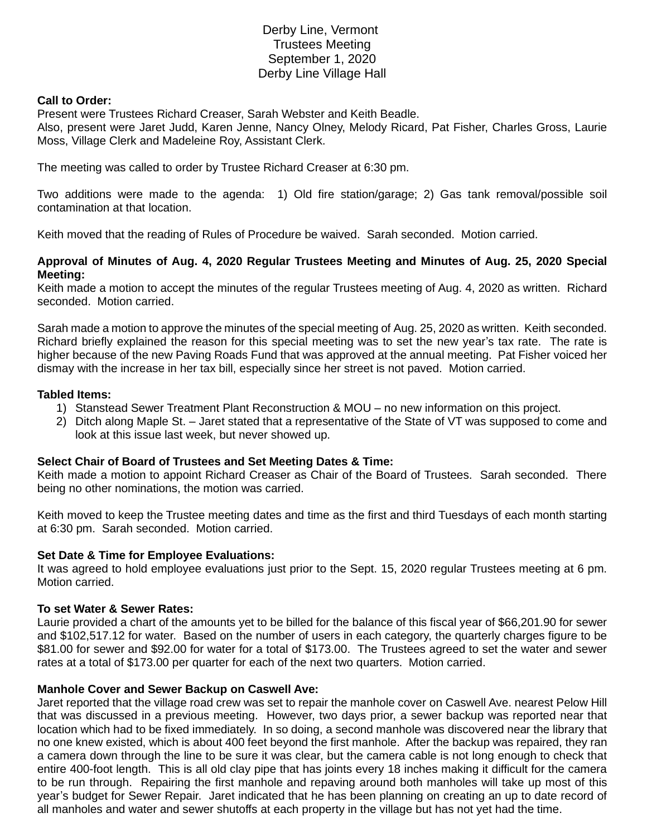# Derby Line, Vermont Trustees Meeting September 1, 2020 Derby Line Village Hall

#### **Call to Order:**

Present were Trustees Richard Creaser, Sarah Webster and Keith Beadle.

Also, present were Jaret Judd, Karen Jenne, Nancy Olney, Melody Ricard, Pat Fisher, Charles Gross, Laurie Moss, Village Clerk and Madeleine Roy, Assistant Clerk.

The meeting was called to order by Trustee Richard Creaser at 6:30 pm.

Two additions were made to the agenda: 1) Old fire station/garage; 2) Gas tank removal/possible soil contamination at that location.

Keith moved that the reading of Rules of Procedure be waived. Sarah seconded. Motion carried.

### **Approval of Minutes of Aug. 4, 2020 Regular Trustees Meeting and Minutes of Aug. 25, 2020 Special Meeting:**

Keith made a motion to accept the minutes of the regular Trustees meeting of Aug. 4, 2020 as written. Richard seconded. Motion carried.

Sarah made a motion to approve the minutes of the special meeting of Aug. 25, 2020 as written. Keith seconded. Richard briefly explained the reason for this special meeting was to set the new year's tax rate. The rate is higher because of the new Paving Roads Fund that was approved at the annual meeting. Pat Fisher voiced her dismay with the increase in her tax bill, especially since her street is not paved. Motion carried.

### **Tabled Items:**

- 1) Stanstead Sewer Treatment Plant Reconstruction & MOU no new information on this project.
- 2) Ditch along Maple St. Jaret stated that a representative of the State of VT was supposed to come and look at this issue last week, but never showed up.

#### **Select Chair of Board of Trustees and Set Meeting Dates & Time:**

Keith made a motion to appoint Richard Creaser as Chair of the Board of Trustees. Sarah seconded. There being no other nominations, the motion was carried.

Keith moved to keep the Trustee meeting dates and time as the first and third Tuesdays of each month starting at 6:30 pm. Sarah seconded. Motion carried.

#### **Set Date & Time for Employee Evaluations:**

It was agreed to hold employee evaluations just prior to the Sept. 15, 2020 regular Trustees meeting at 6 pm. Motion carried.

#### **To set Water & Sewer Rates:**

Laurie provided a chart of the amounts yet to be billed for the balance of this fiscal year of \$66,201.90 for sewer and \$102,517.12 for water. Based on the number of users in each category, the quarterly charges figure to be \$81.00 for sewer and \$92.00 for water for a total of \$173.00. The Trustees agreed to set the water and sewer rates at a total of \$173.00 per quarter for each of the next two quarters. Motion carried.

#### **Manhole Cover and Sewer Backup on Caswell Ave:**

Jaret reported that the village road crew was set to repair the manhole cover on Caswell Ave. nearest Pelow Hill that was discussed in a previous meeting. However, two days prior, a sewer backup was reported near that location which had to be fixed immediately. In so doing, a second manhole was discovered near the library that no one knew existed, which is about 400 feet beyond the first manhole. After the backup was repaired, they ran a camera down through the line to be sure it was clear, but the camera cable is not long enough to check that entire 400-foot length. This is all old clay pipe that has joints every 18 inches making it difficult for the camera to be run through. Repairing the first manhole and repaving around both manholes will take up most of this year's budget for Sewer Repair. Jaret indicated that he has been planning on creating an up to date record of all manholes and water and sewer shutoffs at each property in the village but has not yet had the time.